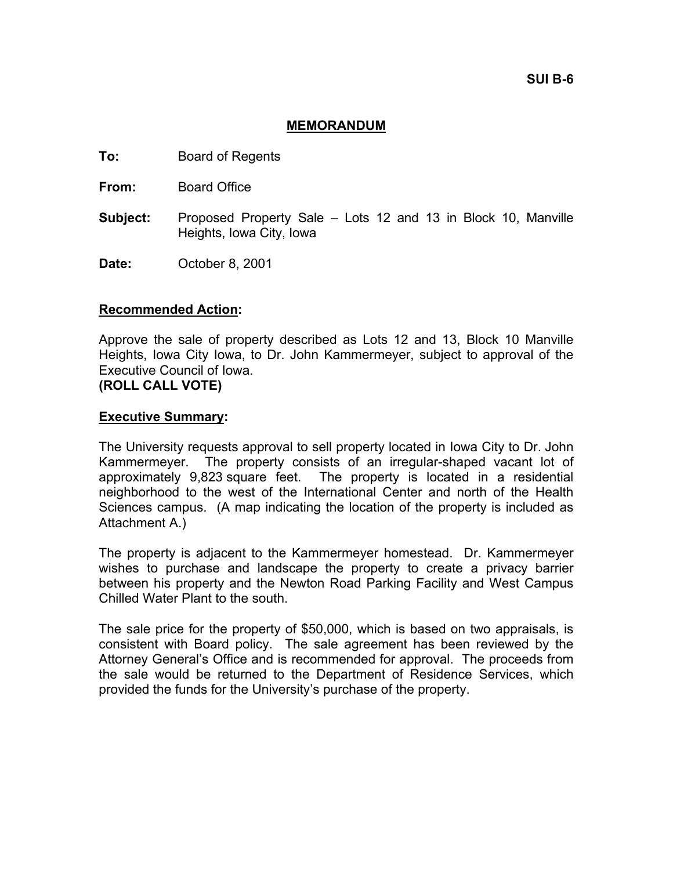**SUI B-6** 

## **MEMORANDUM**

- **To:** Board of Regents
- **From:** Board Office
- **Subject:** Proposed Property Sale Lots 12 and 13 in Block 10, Manville Heights, Iowa City, Iowa
- **Date:** October 8, 2001

#### **Recommended Action:**

Approve the sale of property described as Lots 12 and 13, Block 10 Manville Heights, Iowa City Iowa, to Dr. John Kammermeyer, subject to approval of the Executive Council of Iowa.

**(ROLL CALL VOTE)** 

#### **Executive Summary:**

The University requests approval to sell property located in Iowa City to Dr. John Kammermeyer. The property consists of an irregular-shaped vacant lot of approximately 9,823 square feet. The property is located in a residential neighborhood to the west of the International Center and north of the Health Sciences campus. (A map indicating the location of the property is included as Attachment A.)

The property is adjacent to the Kammermeyer homestead. Dr. Kammermeyer wishes to purchase and landscape the property to create a privacy barrier between his property and the Newton Road Parking Facility and West Campus Chilled Water Plant to the south.

The sale price for the property of \$50,000, which is based on two appraisals, is consistent with Board policy. The sale agreement has been reviewed by the Attorney General's Office and is recommended for approval. The proceeds from the sale would be returned to the Department of Residence Services, which provided the funds for the University's purchase of the property.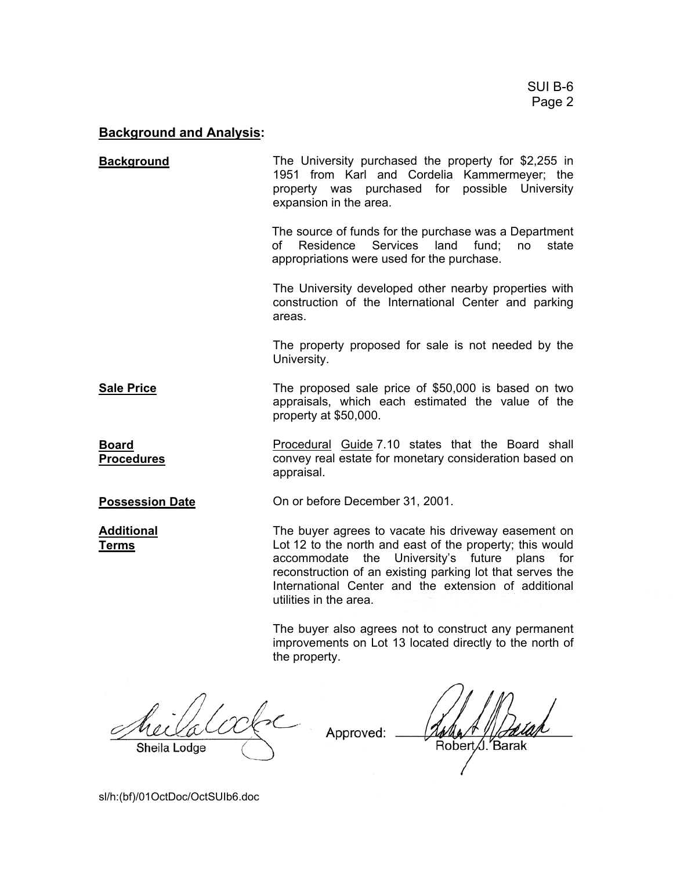# **Background and Analysis:**

| <b>Background</b>                 | The University purchased the property for \$2,255 in<br>1951 from Karl and Cordelia Kammermeyer; the<br>property was purchased for possible University<br>expansion in the area.                                                                                                                                |
|-----------------------------------|-----------------------------------------------------------------------------------------------------------------------------------------------------------------------------------------------------------------------------------------------------------------------------------------------------------------|
|                                   | The source of funds for the purchase was a Department<br>Residence Services land<br>fund;<br>no<br>state<br>of<br>appropriations were used for the purchase.                                                                                                                                                    |
|                                   | The University developed other nearby properties with<br>construction of the International Center and parking<br>areas.                                                                                                                                                                                         |
|                                   | The property proposed for sale is not needed by the<br>University.                                                                                                                                                                                                                                              |
| <b>Sale Price</b>                 | The proposed sale price of \$50,000 is based on two<br>appraisals, which each estimated the value of the<br>property at \$50,000.                                                                                                                                                                               |
| <b>Board</b><br><b>Procedures</b> | Procedural Guide 7.10 states that the Board shall<br>convey real estate for monetary consideration based on<br>appraisal.                                                                                                                                                                                       |
| <b>Possession Date</b>            | On or before December 31, 2001.                                                                                                                                                                                                                                                                                 |
| <b>Additional</b><br><u>Terms</u> | The buyer agrees to vacate his driveway easement on<br>Lot 12 to the north and east of the property; this would<br>accommodate the University's future plans for<br>reconstruction of an existing parking lot that serves the<br>International Center and the extension of additional<br>utilities in the area. |

The buyer also agrees not to construct any permanent improvements on Lot 13 located directly to the north of the property.

ممهمة Sheila Lodge

Approved:

sl/h:(bf)/01OctDoc/OctSUIb6.doc